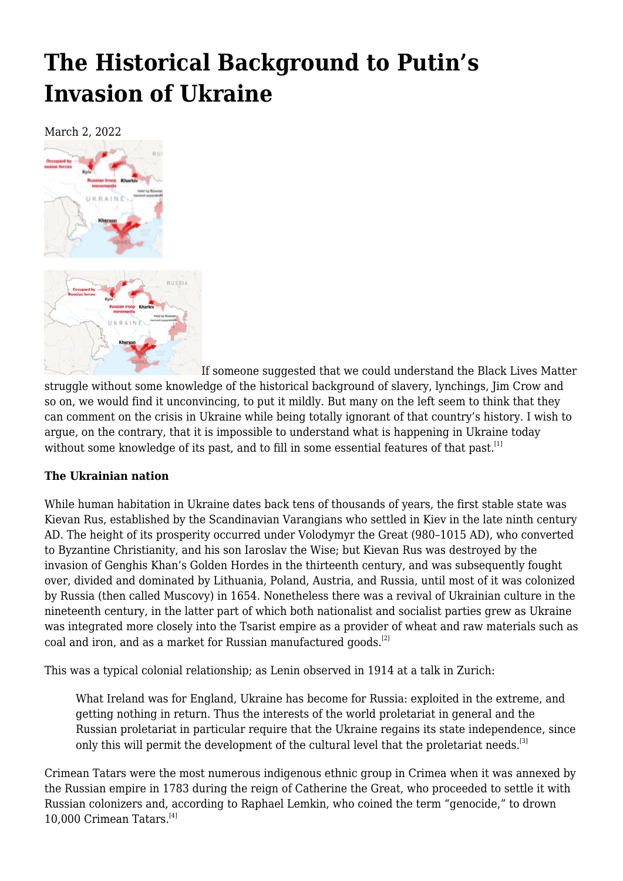# **[The Historical Background to Putin's](https://newpol.org/the-historical-background-to-putins-invasion-of-ukraine/) [Invasion of Ukraine](https://newpol.org/the-historical-background-to-putins-invasion-of-ukraine/)**

March 2, 2022



If someone suggested that we could understand the Black Lives Matter struggle without some knowledge of the historical background of slavery, lynchings, Jim Crow and so on, we would find it unconvincing, to put it mildly. But many on the left seem to think that they can comment on the crisis in Ukraine while being totally ignorant of that country's history. I wish to argue, on the contrary, that it is impossible to understand what is happening in Ukraine today without some knowledge of its past, and to fill in some essential features of that past.<sup>[\[1\]](#page-8-0)</sup>

## **The Ukrainian nation**

While human habitation in Ukraine dates back tens of thousands of years, the first stable state was Kievan Rus, established by the Scandinavian Varangians who settled in Kiev in the late ninth century AD. The height of its prosperity occurred under Volodymyr the Great (980–1015 AD), who converted to Byzantine Christianity, and his son Iaroslav the Wise; but Kievan Rus was destroyed by the invasion of Genghis Khan's Golden Hordes in the thirteenth century, and was subsequently fought over, divided and dominated by Lithuania, Poland, Austria, and Russia, until most of it was colonized by Russia (then called Muscovy) in 1654. Nonetheless there was a revival of Ukrainian culture in the nineteenth century, in the latter part of which both nationalist and socialist parties grew as Ukraine was integrated more closely into the Tsarist empire as a provider of wheat and raw materials such as coal and iron, and as a market for Russian manufactured goods.<sup>[\[2\]](#page-8-1)</sup>

<span id="page-0-0"></span>This was a typical colonial relationship; as Lenin observed in 1914 at a talk in Zurich:

What Ireland was for England, Ukraine has become for Russia: exploited in the extreme, and getting nothing in return. Thus the interests of the world proletariat in general and the Russian proletariat in particular require that the Ukraine regains its state independence, since only this will permit the development of the cultural level that the proletariat needs.<sup>[\[3\]](#page-8-2)</sup>

<span id="page-0-2"></span><span id="page-0-1"></span>Crimean Tatars were the most numerous indigenous ethnic group in Crimea when it was annexed by the Russian empire in 1783 during the reign of Catherine the Great, who proceeded to settle it with Russian colonizers and, according to Raphael Lemkin, who coined the term "genocide," to drown 10,000 Crimean Tatars.[\[4\]](#page-8-3)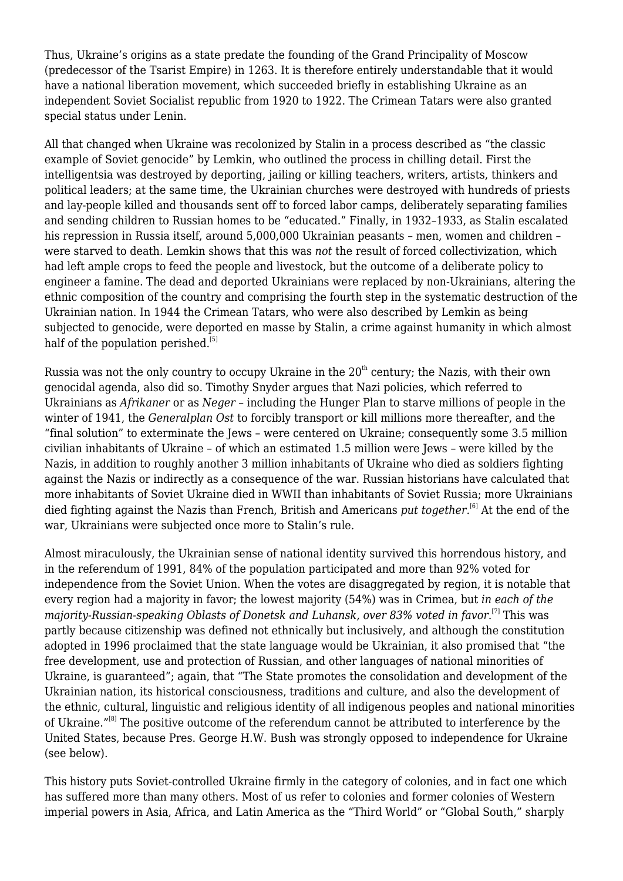Thus, Ukraine's origins as a state predate the founding of the Grand Principality of Moscow (predecessor of the Tsarist Empire) in 1263. It is therefore entirely understandable that it would have a national liberation movement, which succeeded briefly in establishing Ukraine as an independent Soviet Socialist republic from 1920 to 1922. The Crimean Tatars were also granted special status under Lenin.

All that changed when Ukraine was recolonized by Stalin in a process described as "the classic example of Soviet genocide" by Lemkin, who outlined the process in chilling detail. First the intelligentsia was destroyed by deporting, jailing or killing teachers, writers, artists, thinkers and political leaders; at the same time, the Ukrainian churches were destroyed with hundreds of priests and lay-people killed and thousands sent off to forced labor camps, deliberately separating families and sending children to Russian homes to be "educated." Finally, in 1932–1933, as Stalin escalated his repression in Russia itself, around 5,000,000 Ukrainian peasants – men, women and children – were starved to death. Lemkin shows that this was *not* the result of forced collectivization, which had left ample crops to feed the people and livestock, but the outcome of a deliberate policy to engineer a famine. The dead and deported Ukrainians were replaced by non-Ukrainians, altering the ethnic composition of the country and comprising the fourth step in the systematic destruction of the Ukrainian nation. In 1944 the Crimean Tatars, who were also described by Lemkin as being subjected to genocide, were deported en masse by Stalin, a crime against humanity in which almost half of the population perished. $[5]$ 

<span id="page-1-0"></span>Russia was not the only country to occupy Ukraine in the  $20<sup>th</sup>$  century; the Nazis, with their own genocidal agenda, also did so. Timothy Snyder argues that Nazi policies, which referred to Ukrainians as *Afrikaner* or as *Neger* – including the Hunger Plan to starve millions of people in the winter of 1941, the *Generalplan Ost* to forcibly transport or kill millions more thereafter, and the "final solution" to exterminate the Jews – were centered on Ukraine; consequently some 3.5 million civilian inhabitants of Ukraine – of which an estimated 1.5 million were Jews – were killed by the Nazis, in addition to roughly another 3 million inhabitants of Ukraine who died as soldiers fighting against the Nazis or indirectly as a consequence of the war. Russian historians have calculated that more inhabitants of Soviet Ukraine died in WWII than inhabitants of Soviet Russia; more Ukrainians died fighting against the Nazis than French, British and Americans *put together*. [\[6\]](#page-8-5) At the end of the war, Ukrainians were subjected once more to Stalin's rule.

<span id="page-1-2"></span><span id="page-1-1"></span>Almost miraculously, the Ukrainian sense of national identity survived this horrendous history, and in the referendum of 1991, 84% of the population participated and more than 92% voted for independence from the Soviet Union. When the votes are disaggregated by region, it is notable that every region had a majority in favor; the lowest majority (54%) was in Crimea, but *in each of the majority-Russian-speaking Oblasts of Donetsk and Luhansk, over 83% voted in favor*. [\[7\]](#page-9-0) This was partly because citizenship was defined not ethnically but inclusively, and although the constitution adopted in 1996 proclaimed that the state language would be Ukrainian, it also promised that "the free development, use and protection of Russian, and other languages of national minorities of Ukraine, is guaranteed"; again, that "The State promotes the consolidation and development of the Ukrainian nation, its historical consciousness, traditions and culture, and also the development of the ethnic, cultural, linguistic and religious identity of all indigenous peoples and national minorities of Ukraine."<sup>[\[8\]](#page-9-1)</sup> The positive outcome of the referendum cannot be attributed to interference by the United States, because Pres. George H.W. Bush was strongly opposed to independence for Ukraine (see below).

<span id="page-1-3"></span>This history puts Soviet-controlled Ukraine firmly in the category of colonies, and in fact one which has suffered more than many others. Most of us refer to colonies and former colonies of Western imperial powers in Asia, Africa, and Latin America as the "Third World" or "Global South," sharply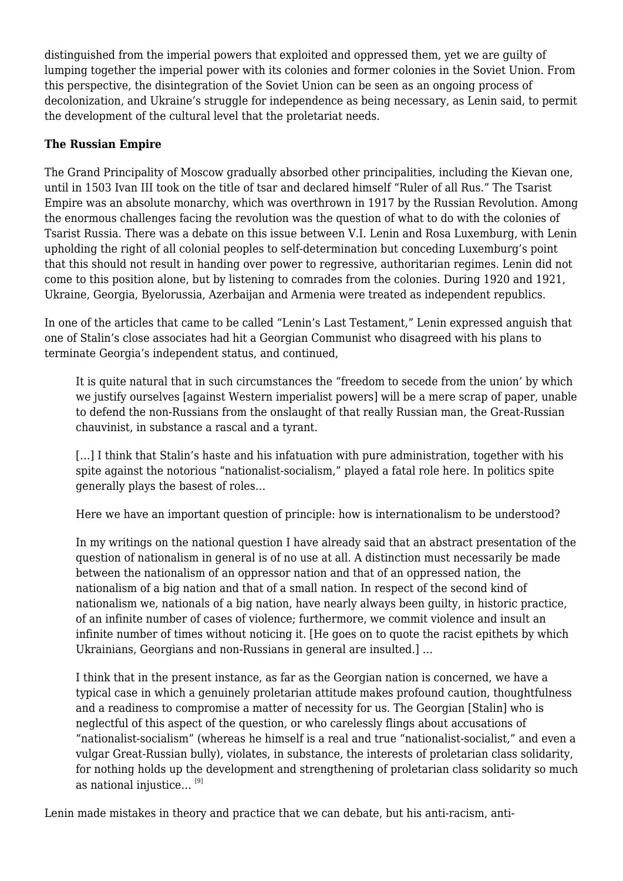distinguished from the imperial powers that exploited and oppressed them, yet we are guilty of lumping together the imperial power with its colonies and former colonies in the Soviet Union. From this perspective, the disintegration of the Soviet Union can be seen as an ongoing process of decolonization, and Ukraine's struggle for independence as being necessary, as Lenin said, to permit the development of the cultural level that the proletariat needs.

#### **The Russian Empire**

The Grand Principality of Moscow gradually absorbed other principalities, including the Kievan one, until in 1503 Ivan III took on the title of tsar and declared himself "Ruler of all Rus." The Tsarist Empire was an absolute monarchy, which was overthrown in 1917 by the Russian Revolution. Among the enormous challenges facing the revolution was the question of what to do with the colonies of Tsarist Russia. There was a debate on this issue between V.I. Lenin and Rosa Luxemburg, with Lenin upholding the right of all colonial peoples to self-determination but conceding Luxemburg's point that this should not result in handing over power to regressive, authoritarian regimes. Lenin did not come to this position alone, but by listening to comrades from the colonies. During 1920 and 1921, Ukraine, Georgia, Byelorussia, Azerbaijan and Armenia were treated as independent republics.

In one of the articles that came to be called "Lenin's Last Testament," Lenin expressed anguish that one of Stalin's close associates had hit a Georgian Communist who disagreed with his plans to terminate Georgia's independent status, and continued,

It is quite natural that in such circumstances the "freedom to secede from the union' by which we justify ourselves [against Western imperialist powers] will be a mere scrap of paper, unable to defend the non-Russians from the onslaught of that really Russian man, the Great-Russian chauvinist, in substance a rascal and a tyrant.

[...] I think that Stalin's haste and his infatuation with pure administration, together with his spite against the notorious "nationalist-socialism," played a fatal role here. In politics spite generally plays the basest of roles…

Here we have an important question of principle: how is internationalism to be understood?

In my writings on the national question I have already said that an abstract presentation of the question of nationalism in general is of no use at all. A distinction must necessarily be made between the nationalism of an oppressor nation and that of an oppressed nation, the nationalism of a big nation and that of a small nation. In respect of the second kind of nationalism we, nationals of a big nation, have nearly always been guilty, in historic practice, of an infinite number of cases of violence; furthermore, we commit violence and insult an infinite number of times without noticing it. [He goes on to quote the racist epithets by which Ukrainians, Georgians and non-Russians in general are insulted.] …

I think that in the present instance, as far as the Georgian nation is concerned, we have a typical case in which a genuinely proletarian attitude makes profound caution, thoughtfulness and a readiness to compromise a matter of necessity for us. The Georgian [Stalin] who is neglectful of this aspect of the question, or who carelessly flings about accusations of "nationalist-socialism" (whereas he himself is a real and true "nationalist-socialist," and even a vulgar Great-Russian bully), violates, in substance, the interests of proletarian class solidarity, for nothing holds up the development and strengthening of proletarian class solidarity so much as national injustice...  $[9]$ 

<span id="page-2-0"></span>Lenin made mistakes in theory and practice that we can debate, but his anti-racism, anti-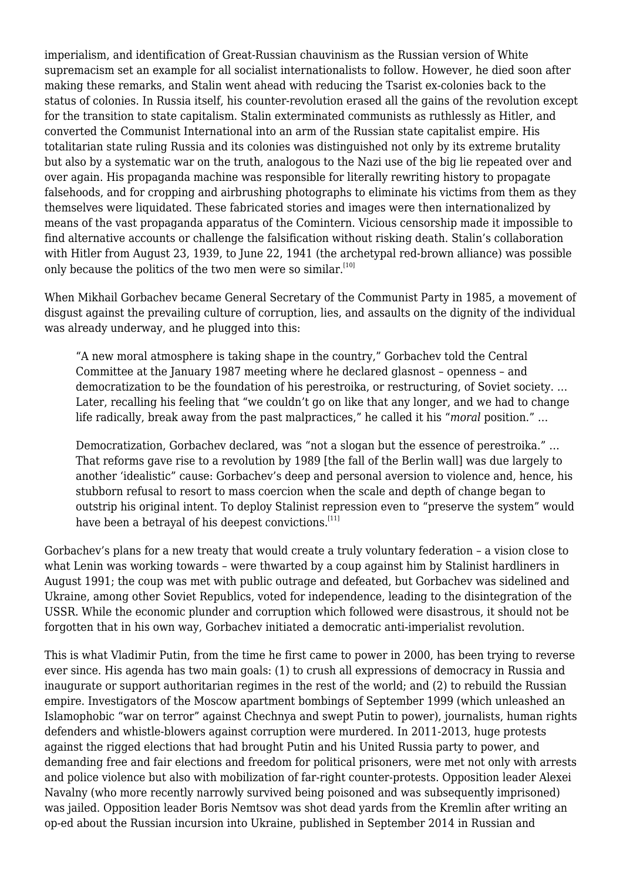imperialism, and identification of Great-Russian chauvinism as the Russian version of White supremacism set an example for all socialist internationalists to follow. However, he died soon after making these remarks, and Stalin went ahead with reducing the Tsarist ex-colonies back to the status of colonies. In Russia itself, his counter-revolution erased all the gains of the revolution except for the transition to state capitalism. Stalin exterminated communists as ruthlessly as Hitler, and converted the Communist International into an arm of the Russian state capitalist empire. His totalitarian state ruling Russia and its colonies was distinguished not only by its extreme brutality but also by a systematic war on the truth, analogous to the Nazi use of the big lie repeated over and over again. His propaganda machine was responsible for literally rewriting history to propagate falsehoods, and for cropping and airbrushing photographs to eliminate his victims from them as they themselves were liquidated. These fabricated stories and images were then internationalized by means of the vast propaganda apparatus of the Comintern. Vicious censorship made it impossible to find alternative accounts or challenge the falsification without risking death. Stalin's collaboration with Hitler from August 23, 1939, to June 22, 1941 (the archetypal red-brown alliance) was possible only because the politics of the two men were so similar. $[10]$ 

<span id="page-3-0"></span>When Mikhail Gorbachev became General Secretary of the Communist Party in 1985, a movement of disgust against the prevailing culture of corruption, lies, and assaults on the dignity of the individual was already underway, and he plugged into this:

"A new moral atmosphere is taking shape in the country," Gorbachev told the Central Committee at the January 1987 meeting where he declared glasnost – openness – and democratization to be the foundation of his perestroika, or restructuring, of Soviet society. … Later, recalling his feeling that "we couldn't go on like that any longer, and we had to change life radically, break away from the past malpractices," he called it his "*moral* position." …

Democratization, Gorbachev declared, was "not a slogan but the essence of perestroika." … That reforms gave rise to a revolution by 1989 [the fall of the Berlin wall] was due largely to another 'idealistic" cause: Gorbachev's deep and personal aversion to violence and, hence, his stubborn refusal to resort to mass coercion when the scale and depth of change began to outstrip his original intent. To deploy Stalinist repression even to "preserve the system" would have been a betraval of his deepest convictions.<sup>[\[11\]](#page-9-4)</sup>

<span id="page-3-1"></span>Gorbachev's plans for a new treaty that would create a truly voluntary federation – a vision close to what Lenin was working towards – were thwarted by a coup against him by Stalinist hardliners in August 1991; the coup was met with public outrage and defeated, but Gorbachev was sidelined and Ukraine, among other Soviet Republics, voted for independence, leading to the disintegration of the USSR. While the economic plunder and corruption which followed were disastrous, it should not be forgotten that in his own way, Gorbachev initiated a democratic anti-imperialist revolution.

This is what Vladimir Putin, from the time he first came to power in 2000, has been trying to reverse ever since. His agenda has two main goals: (1) to crush all expressions of democracy in Russia and inaugurate or support authoritarian regimes in the rest of the world; and (2) to rebuild the Russian empire. Investigators of the Moscow apartment bombings of September 1999 (which unleashed an Islamophobic "war on terror" against Chechnya and swept Putin to power), journalists, human rights defenders and whistle-blowers against corruption were murdered. In 2011-2013, huge protests against the rigged elections that had brought Putin and his United Russia party to power, and demanding free and fair elections and freedom for political prisoners, were met not only with arrests and police violence but also with mobilization of far-right counter-protests. Opposition leader Alexei Navalny (who more recently narrowly survived being poisoned and was subsequently imprisoned) was jailed. Opposition leader Boris Nemtsov was shot dead yards from the Kremlin after writing an op-ed about the Russian incursion into Ukraine, published in September 2014 in Russian and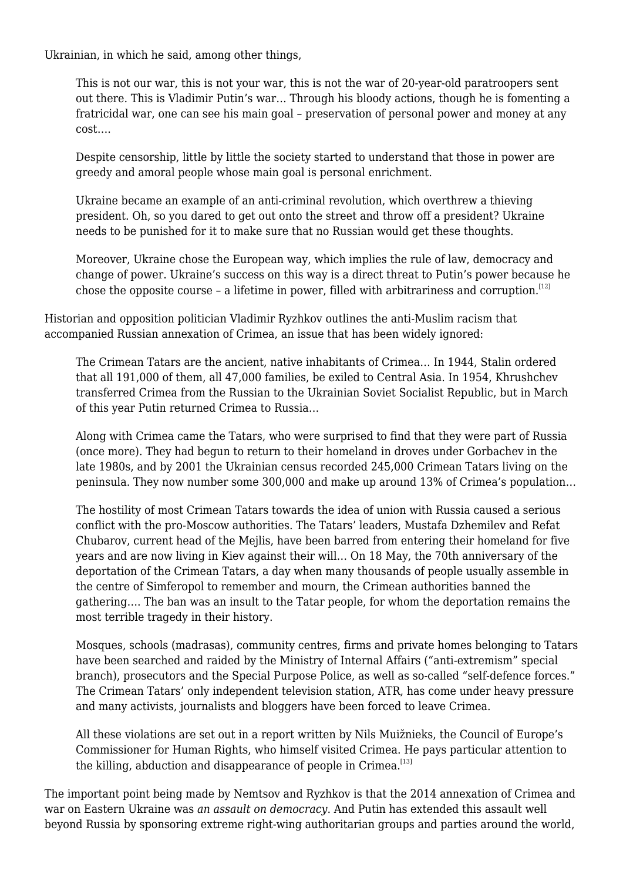Ukrainian, in which he said, among other things,

This is not our war, this is not your war, this is not the war of 20-year-old paratroopers sent out there. This is Vladimir Putin's war… Through his bloody actions, though he is fomenting a fratricidal war, one can see his main goal – preservation of personal power and money at any cost….

Despite censorship, little by little the society started to understand that those in power are greedy and amoral people whose main goal is personal enrichment.

Ukraine became an example of an anti-criminal revolution, which overthrew a thieving president. Oh, so you dared to get out onto the street and throw off a president? Ukraine needs to be punished for it to make sure that no Russian would get these thoughts.

Moreover, Ukraine chose the European way, which implies the rule of law, democracy and change of power. Ukraine's success on this way is a direct threat to Putin's power because he chose the opposite course  $-$  a lifetime in power, filled with arbitrariness and corruption.<sup>[\[12\]](#page-9-5)</sup>

<span id="page-4-0"></span>Historian and opposition politician Vladimir Ryzhkov outlines the anti-Muslim racism that accompanied Russian annexation of Crimea, an issue that has been widely ignored:

The Crimean Tatars are the ancient, native inhabitants of Crimea… In 1944, Stalin ordered that all 191,000 of them, all 47,000 families, be exiled to Central Asia. In 1954, Khrushchev transferred Crimea from the Russian to the Ukrainian Soviet Socialist Republic, but in March of this year Putin returned Crimea to Russia…

Along with [Crimea](https://www.theguardian.com/world/crimea) came the Tatars, who were surprised to find that they were part of Russia (once more). They had begun to return to their homeland in droves under Gorbachev in the late 1980s, and by 2001 the Ukrainian census recorded 245,000 Crimean Tatars living on the peninsula. They now number some 300,000 and make up around 13% of Crimea's population…

The hostility of most Crimean Tatars towards the idea of union with Russia [caused a serious](https://www.theguardian.com/world/2014/may/16/vladimir-putin-crimea-tatars-russian-ukraine) [conflict with the pro-Moscow authorities.](https://www.theguardian.com/world/2014/may/16/vladimir-putin-crimea-tatars-russian-ukraine) The Tatars' leaders, Mustafa Dzhemilev and Refat Chubarov, current head of the Mejlis, have been barred from entering their homeland for five years and are now living in Kiev against their will… On 18 May, the 70th anniversary of the deportation of the Crimean Tatars, a day when many thousands of people usually assemble in the centre of Simferopol to remember and mourn, the Crimean authorities banned the gathering…. The ban was an insult to the Tatar people, for whom the deportation remains the most terrible tragedy in their history.

Mosques, schools (madrasas), community centres, firms and private homes belonging to Tatars have been searched and raided by the Ministry of Internal Affairs ("anti-extremism" special branch), prosecutors and the Special Purpose Police, as well as so-called "self-defence forces." The Crimean Tatars' only independent television station, ATR, has come under heavy pressure and many activists, journalists and bloggers have been forced to leave Crimea.

All these violations are set out in a [report written by Nils Muižnieks,](https://wcd.coe.int/com.instranet.InstraServlet?command=com.instranet.CmdBlobGet&InstranetImage=2624575&SecMode=1&DocId=2197556&Usage=2) the Council of Europe's Commissioner for Human Rights, who himself visited Crimea. He pays particular attention to the killing, abduction and disappearance of people in Crimea. $[13]$ 

<span id="page-4-1"></span>The important point being made by Nemtsov and Ryzhkov is that the 2014 annexation of Crimea and war on Eastern Ukraine was *an assault on democracy*. And Putin has extended this assault well beyond Russia by sponsoring extreme right-wing authoritarian groups and parties around the world,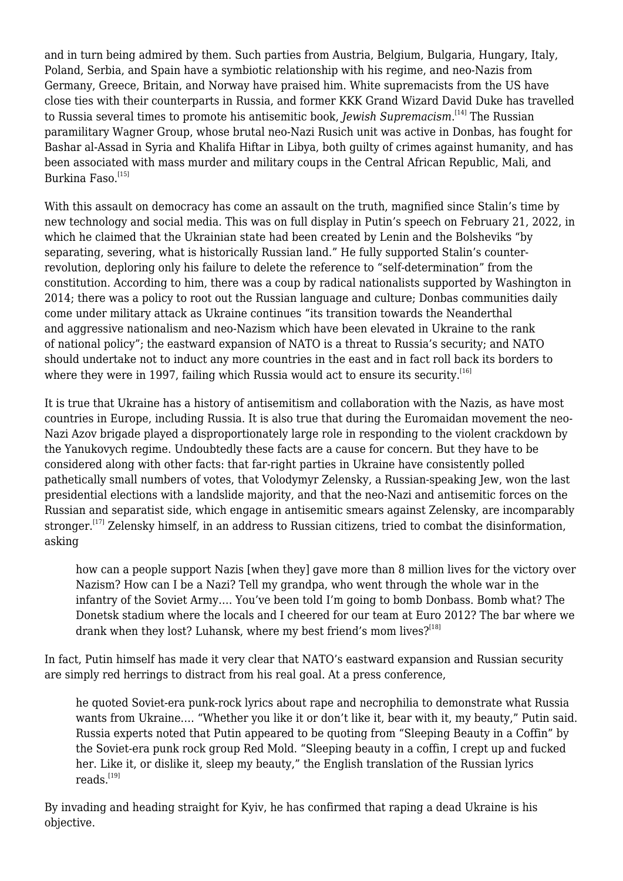<span id="page-5-0"></span>and in turn being admired by them. Such parties from Austria, Belgium, Bulgaria, Hungary, Italy, Poland, Serbia, and Spain have a symbiotic relationship with his regime, and neo-Nazis from Germany, Greece, Britain, and Norway have praised him. White supremacists from the US have close ties with their counterparts in Russia, and former KKK Grand Wizard David Duke has travelled to Russia several times to promote his antisemitic book, *Jewish Supremacism*. [\[14\]](#page-9-7) The Russian paramilitary Wagner Group, whose brutal neo-Nazi Rusich unit was active in Donbas, has fought for Bashar al-Assad in Syria and Khalifa Hiftar in Libya, both guilty of crimes against humanity, and has been associated with mass murder and military coups in the Central African Republic, Mali, and Burkina Faso.<sup>[\[15\]](#page-9-8)</sup>

<span id="page-5-1"></span>With this assault on democracy has come an assault on the truth, magnified since Stalin's time by new technology and social media. This was on full display in Putin's speech on February 21, 2022, in which he claimed that the Ukrainian state had been created by Lenin and the Bolsheviks "by separating, severing, what is historically Russian land." He fully supported Stalin's counterrevolution, deploring only his failure to delete the reference to "self-determination" from the constitution. According to him, there was a coup by radical nationalists supported by Washington in 2014; there was a policy to root out the Russian language and culture; Donbas communities daily come under military attack as Ukraine continues "its transition towards the Neanderthal and aggressive nationalism and neo-Nazism which have been elevated in Ukraine to the rank of national policy"; the eastward expansion of NATO is a threat to Russia's security; and NATO should undertake not to induct any more countries in the east and in fact roll back its borders to where they were in 1997, failing which Russia would act to ensure its security.<sup>[\[16\]](#page-9-9)</sup>

<span id="page-5-2"></span>It is true that Ukraine has a history of antisemitism and collaboration with the Nazis, as have most countries in Europe, including Russia. It is also true that during the Euromaidan movement the neo-Nazi Azov brigade played a disproportionately large role in responding to the violent crackdown by the Yanukovych regime. Undoubtedly these facts are a cause for concern. But they have to be considered along with other facts: that far-right parties in Ukraine have consistently polled pathetically small numbers of votes, that Volodymyr Zelensky, a Russian-speaking Jew, won the last presidential elections with a landslide majority, and that the neo-Nazi and antisemitic forces on the Russian and separatist side, which engage in antisemitic smears against Zelensky, are incomparably stronger.<sup>[\[17\]](#page-9-10)</sup> Zelensky himself, in an address to Russian citizens, tried to combat the disinformation, asking

<span id="page-5-3"></span>how can a people support Nazis [when they] gave more than 8 million lives for the victory over Nazism? How can I be a Nazi? Tell my grandpa, who went through the whole war in the infantry of the Soviet Army…. You've been told I'm going to bomb Donbass. Bomb what? The Donetsk stadium where the locals and I cheered for our team at Euro 2012? The bar where we drank when they lost? Luhansk, where my best friend's mom lives? $[18]$ 

<span id="page-5-4"></span>In fact, Putin himself has made it very clear that NATO's eastward expansion and Russian security are simply red herrings to distract from his real goal. At a press conference,

he [quoted Soviet-era punk-rock lyrics](https://www.youtube.com/watch?v=k4WCiEdwTY4) about rape and necrophilia to demonstrate what Russia wants from Ukraine.… "Whether you like it or don't like it, bear with it, my beauty," Putin said. Russia experts [noted](https://twitter.com/MacaesBruno/status/1490823720172142599) that Putin appeared to be quoting from ["Sleeping Beauty in a Coffin"](https://www.youtube.com/watch?v=DvPVfgjfhRg) by the Soviet-era punk rock group Red Mold. "Sleeping beauty in a coffin, I crept up and fucked her. Like it, or dislike it, sleep my beauty," the English translation of the Russian lyrics reads.[\[19\]](#page-9-12)

<span id="page-5-5"></span>By invading and heading straight for Kyiv, he has confirmed that raping a dead Ukraine is his objective.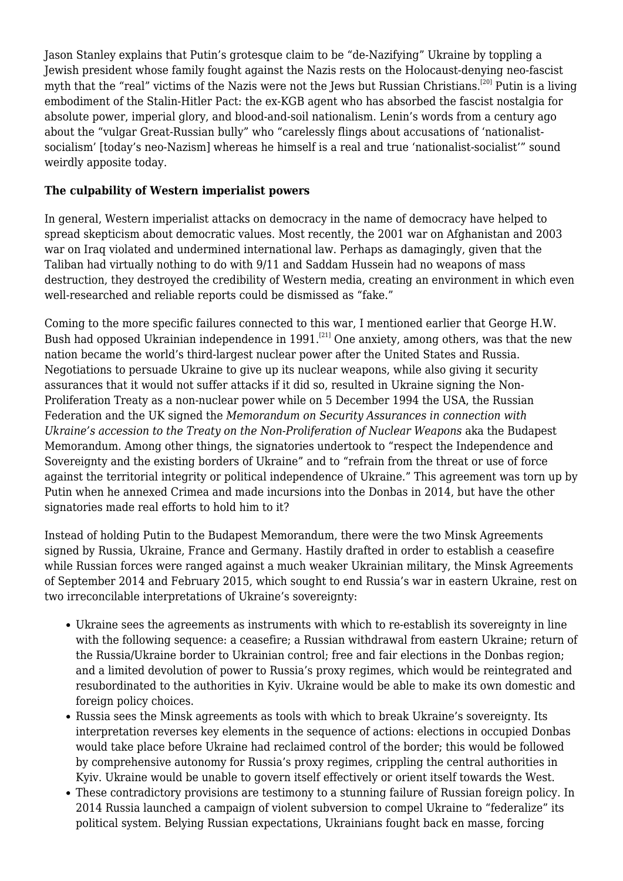<span id="page-6-0"></span>Jason Stanley explains that Putin's grotesque claim to be "de-Nazifying" Ukraine by toppling a Jewish president whose family fought against the Nazis rests on the Holocaust-denying neo-fascist myth that the "real" victims of the Nazis were not the Jews but Russian Christians.<sup>[\[20\]](#page-9-13)</sup> Putin is a living embodiment of the Stalin-Hitler Pact: the ex-KGB agent who has absorbed the fascist nostalgia for absolute power, imperial glory, and blood-and-soil nationalism. Lenin's words from a century ago about the "vulgar Great-Russian bully" who "carelessly flings about accusations of 'nationalistsocialism' [today's neo-Nazism] whereas he himself is a real and true 'nationalist-socialist'" sound weirdly apposite today.

## **The culpability of Western imperialist powers**

In general, Western imperialist attacks on democracy in the name of democracy have helped to spread skepticism about democratic values. Most recently, the 2001 war on Afghanistan and 2003 war on Iraq violated and undermined international law. Perhaps as damagingly, given that the Taliban had virtually nothing to do with 9/11 and Saddam Hussein had no weapons of mass destruction, they destroyed the credibility of Western media, creating an environment in which even well-researched and reliable reports could be dismissed as "fake."

<span id="page-6-1"></span>Coming to the more specific failures connected to this war, I mentioned earlier that George H.W. Bush had opposed Ukrainian independence in 1991.<sup>[\[21\]](#page-9-14)</sup> One anxiety, among others, was that the new nation became the world's third-largest nuclear power after the United States and Russia. Negotiations to persuade Ukraine to give up its nuclear weapons, while also giving it security assurances that it would not suffer attacks if it did so, resulted in Ukraine signing the Non-Proliferation Treaty as a non-nuclear power while on 5 December 1994 the USA, the Russian Federation and the UK signed the *Memorandum on Security Assurances in connection with Ukraine's accession to the Treaty on the Non-Proliferation of Nuclear Weapons* aka the Budapest Memorandum. Among other things, the signatories undertook to "respect the Independence and Sovereignty and the existing borders of Ukraine" and to "refrain from the threat or use of force against the territorial integrity or political independence of Ukraine." This agreement was torn up by Putin when he annexed Crimea and made incursions into the Donbas in 2014, but have the other signatories made real efforts to hold him to it?

Instead of holding Putin to the Budapest Memorandum, there were the two Minsk Agreements signed by Russia, Ukraine, France and Germany. Hastily drafted in order to establish a ceasefire while Russian forces were ranged against a much weaker Ukrainian military, the Minsk Agreements of September 2014 and February 2015, which sought to end Russia's war in eastern Ukraine, rest on two irreconcilable interpretations of Ukraine's sovereignty:

- Ukraine sees the agreements as instruments with which to re-establish its sovereignty in line with the following sequence: a ceasefire; a Russian withdrawal from eastern Ukraine; return of the Russia/Ukraine border to Ukrainian control; free and fair elections in the Donbas region; and a limited devolution of power to Russia's proxy regimes, which would be reintegrated and resubordinated to the authorities in Kyiv. Ukraine would be able to make its own domestic and foreign policy choices.
- Russia sees the Minsk agreements as tools with which to break Ukraine's sovereignty. Its interpretation reverses key elements in the sequence of actions: elections in occupied Donbas would take place before Ukraine had reclaimed control of the border; this would be followed by comprehensive autonomy for Russia's proxy regimes, crippling the central authorities in Kyiv. Ukraine would be unable to govern itself effectively or orient itself towards the West.
- These contradictory provisions are testimony to a stunning failure of Russian foreign policy. In 2014 Russia launched a campaign of violent subversion to compel Ukraine to "federalize" its political system. Belying Russian expectations, Ukrainians fought back en masse, forcing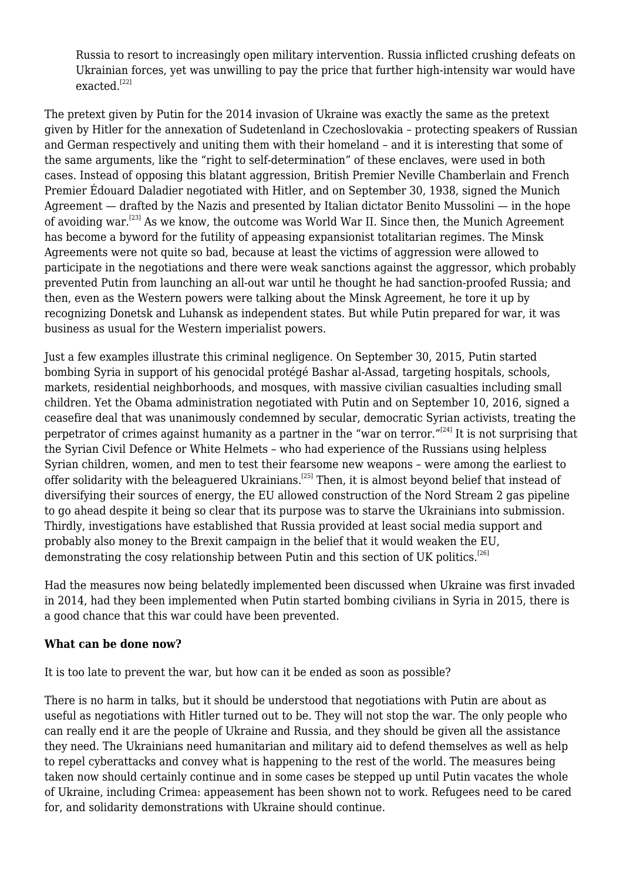Russia to resort to increasingly open military intervention. Russia inflicted crushing defeats on Ukrainian forces, yet was unwilling to pay the price that further high-intensity war would have exacted.<sup>[\[22\]](#page-9-15)</sup>

<span id="page-7-1"></span><span id="page-7-0"></span>The pretext given by Putin for the 2014 invasion of Ukraine was exactly the same as the pretext given by Hitler for the annexation of Sudetenland in Czechoslovakia – protecting speakers of Russian and German respectively and uniting them with their homeland – and it is interesting that some of the same arguments, like the "right to self-determination" of these enclaves, were used in both cases. Instead of opposing this blatant aggression, British Premier Neville Chamberlain and French Premier Édouard Daladier negotiated with Hitler, and on September 30, 1938, signed the Munich Agreement — drafted by the Nazis and presented by Italian dictator Benito Mussolini — in the hope of avoiding war.<sup>[\[23\]](#page-9-16)</sup> As we know, the outcome was World War II. Since then, the Munich Agreement has become a byword for the futility of appeasing expansionist totalitarian regimes. The Minsk Agreements were not quite so bad, because at least the victims of aggression were allowed to participate in the negotiations and there were weak sanctions against the aggressor, which probably prevented Putin from launching an all-out war until he thought he had sanction-proofed Russia; and then, even as the Western powers were talking about the Minsk Agreement, he tore it up by recognizing Donetsk and Luhansk as independent states. But while Putin prepared for war, it was business as usual for the Western imperialist powers.

<span id="page-7-2"></span>Just a few examples illustrate this criminal negligence. On September 30, 2015, Putin started bombing Syria in support of his genocidal protégé Bashar al-Assad, targeting hospitals, schools, markets, residential neighborhoods, and mosques, with massive civilian casualties including small children. Yet the Obama administration negotiated with Putin and on September 10, 2016, signed a ceasefire deal that was unanimously condemned by secular, democratic Syrian activists, treating the perpetrator of crimes against humanity as a partner in the "war on terror." $[24]$  It is not surprising that the Syrian Civil Defence or White Helmets – who had experience of the Russians using helpless Syrian children, women, and men to test their fearsome new weapons – were among the earliest to offer solidarity with the beleaguered Ukrainians.<sup>[\[25\]](#page-10-0)</sup> Then, it is almost beyond belief that instead of diversifying their sources of energy, the EU allowed construction of the Nord Stream 2 gas pipeline to go ahead despite it being so clear that its purpose was to starve the Ukrainians into submission. Thirdly, investigations have established that Russia provided at least social media support and probably also money to the Brexit campaign in the belief that it would weaken the EU, demonstrating the cosy relationship between Putin and this section of UK politics.<sup>[\[26\]](#page-10-1)</sup>

<span id="page-7-4"></span><span id="page-7-3"></span>Had the measures now being belatedly implemented been discussed when Ukraine was first invaded in 2014, had they been implemented when Putin started bombing civilians in Syria in 2015, there is a good chance that this war could have been prevented.

#### **What can be done now?**

It is too late to prevent the war, but how can it be ended as soon as possible?

There is no harm in talks, but it should be understood that negotiations with Putin are about as useful as negotiations with Hitler turned out to be. They will not stop the war. The only people who can really end it are the people of Ukraine and Russia, and they should be given all the assistance they need. The Ukrainians need humanitarian and military aid to defend themselves as well as help to repel cyberattacks and convey what is happening to the rest of the world. The measures being taken now should certainly continue and in some cases be stepped up until Putin vacates the whole of Ukraine, including Crimea: appeasement has been shown not to work. Refugees need to be cared for, and solidarity demonstrations with Ukraine should continue.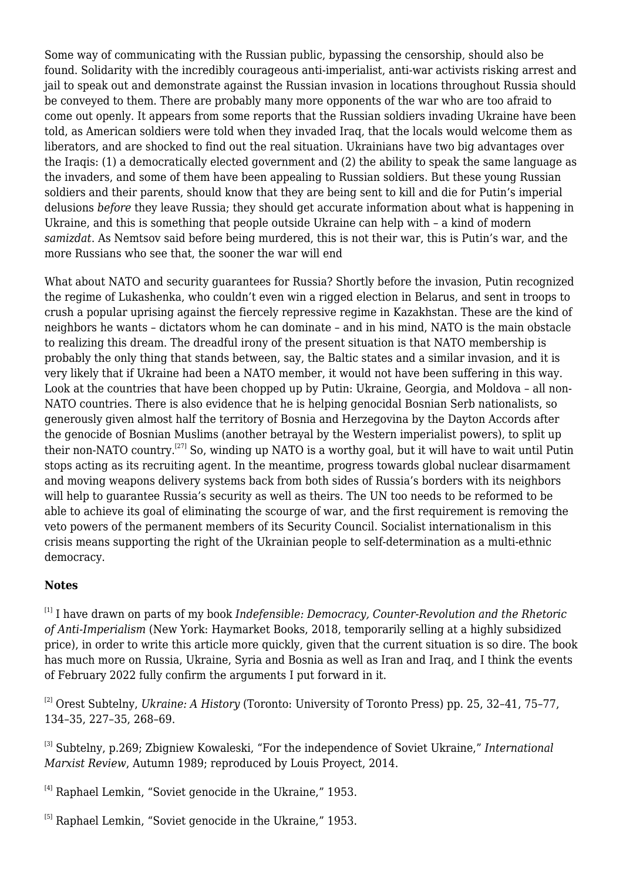Some way of communicating with the Russian public, bypassing the censorship, should also be found. Solidarity with the incredibly courageous anti-imperialist, anti-war activists risking arrest and jail to speak out and demonstrate against the Russian invasion in locations throughout Russia should be conveyed to them. There are probably many more opponents of the war who are too afraid to come out openly. It appears from some reports that the Russian soldiers invading Ukraine have been told, as American soldiers were told when they invaded Iraq, that the locals would welcome them as liberators, and are shocked to find out the real situation. Ukrainians have two big advantages over the Iraqis: (1) a democratically elected government and (2) the ability to speak the same language as the invaders, and some of them have been appealing to Russian soldiers. But these young Russian soldiers and their parents, should know that they are being sent to kill and die for Putin's imperial delusions *before* they leave Russia; they should get accurate information about what is happening in Ukraine, and this is something that people outside Ukraine can help with – a kind of modern *samizdat*. As Nemtsov said before being murdered, this is not their war, this is Putin's war, and the more Russians who see that, the sooner the war will end

What about NATO and security guarantees for Russia? Shortly before the invasion, Putin recognized the regime of Lukashenka, who couldn't even win a rigged election in Belarus, and sent in troops to crush a popular uprising against the fiercely repressive regime in Kazakhstan. These are the kind of neighbors he wants – dictators whom he can dominate – and in his mind, NATO is the main obstacle to realizing this dream. The dreadful irony of the present situation is that NATO membership is probably the only thing that stands between, say, the Baltic states and a similar invasion, and it is very likely that if Ukraine had been a NATO member, it would not have been suffering in this way. Look at the countries that have been chopped up by Putin: Ukraine, Georgia, and Moldova – all non-NATO countries. There is also evidence that he is helping genocidal Bosnian Serb nationalists, so generously given almost half the territory of Bosnia and Herzegovina by the Dayton Accords after the genocide of Bosnian Muslims (another betrayal by the Western imperialist powers), to split up their non-NATO country.<sup>[\[27\]](#page-10-2)</sup> So, winding up NATO is a worthy goal, but it will have to wait until Putin stops acting as its recruiting agent. In the meantime, progress towards global nuclear disarmament and moving weapons delivery systems back from both sides of Russia's borders with its neighbors will help to guarantee Russia's security as well as theirs. The UN too needs to be reformed to be able to achieve its goal of eliminating the scourge of war, and the first requirement is removing the veto powers of the permanent members of its Security Council. Socialist internationalism in this crisis means supporting the right of the Ukrainian people to self-determination as a multi-ethnic democracy.

## <span id="page-8-6"></span><span id="page-8-0"></span>**Notes**

[1] I have drawn on parts of my book *Indefensible: Democracy, Counter-Revolution and the Rhetoric of Anti-Imperialism* (New York: Haymarket Books, 2018, temporarily selling at a highly subsidized price), in order to write this article more quickly, given that the current situation is so dire. The book has much more on Russia, Ukraine, Syria and Bosnia as well as Iran and Iraq, and I think the events of February 2022 fully confirm the arguments I put forward in it.

<span id="page-8-1"></span>[\[2\]](#page-0-0) Orest Subtelny, *Ukraine: A History* (Toronto: University of Toronto Press) pp. 25, 32–41, 75–77, 134–35, 227–35, 268–69.

<span id="page-8-2"></span>[\[3\]](#page-0-1) Subtelny, p.269; Zbigniew Kowaleski, "For the independence of Soviet Ukraine," *International Marxist Review*, Autumn 1989; reproduced by [Louis Proyect](https://louisproyect.org/2014/04/20/lenins-party-great-russian-chauvinism-and-the-betrayal-of-ukrainian-national-aspirations/), 2014.

<span id="page-8-3"></span>[\[4\]](#page-0-2) Raphael Lemkin, ["Soviet genocide in the Ukraine,](https://43f70ce0-6f30-48c5-af8a-b85f37910e81.filesusr.com/ugd/24deff_09cae19509e44ebf82004129a25213d2.pdf)" 1953.

<span id="page-8-5"></span><span id="page-8-4"></span><sup>[\[5\]](#page-1-0)</sup> Raphael Lemkin, ["Soviet genocide in the Ukraine,](https://43f70ce0-6f30-48c5-af8a-b85f37910e81.filesusr.com/ugd/24deff_09cae19509e44ebf82004129a25213d2.pdf)" 1953.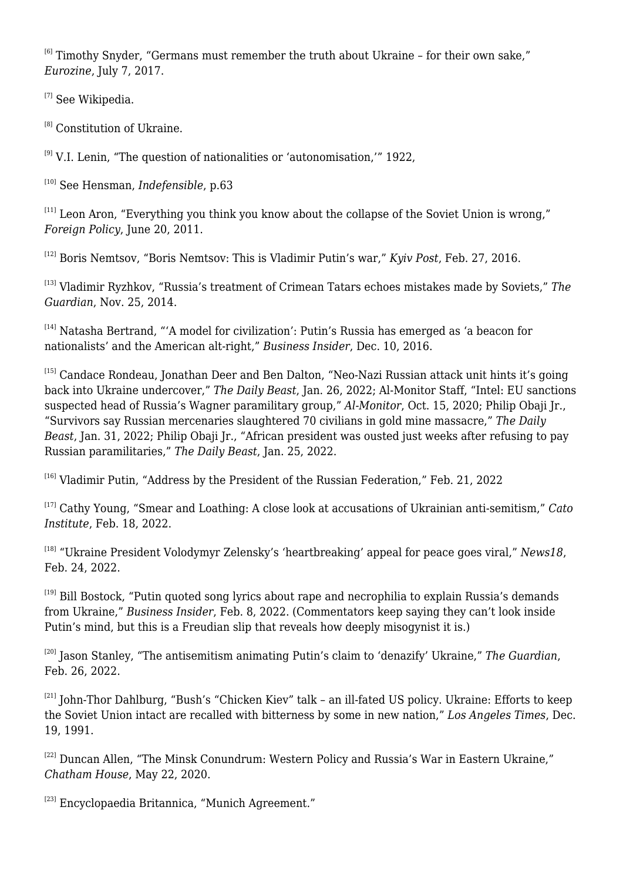<sup>[\[6\]](#page-1-1)</sup> Timothy Snyder, "Germans must remember the truth about Ukraine - for their own sake," *Eurozine*, July 7, 2017.

<span id="page-9-0"></span><sup>[\[7\]](#page-1-2)</sup> See [Wikipedia](https://en.wikipedia.org/wiki/1991_Ukrainian_independence_referendum).

<span id="page-9-1"></span><sup>[\[8\]](#page-1-3)</sup> [Constitution of Ukraine.](https://www.refworld.org/pdfid/44a280124.pdf)

<span id="page-9-2"></span> $[9]$  V.I. Lenin, "[The question of nationalities or 'autonomisation,'"](https://www.marxists.org/archive/lenin/works/1922/dec/testamnt/autonomy.htm) 1922,

<span id="page-9-3"></span>[\[10\]](#page-3-0) See Hensman, *Indefensible*, p.63

<span id="page-9-4"></span> $[11]$  Leon Aron, ["Everything you think you know about the collapse of the Soviet Union is wrong](https://foreignpolicy.com/2011/06/20/everything-you-think-you-know-about-the-collapse-of-the-soviet-union-is-wrong/)." *Foreign Policy*, June 20, 2011.

<span id="page-9-5"></span>[\[12\]](#page-4-0) Boris Nemtsov, ["Boris Nemtsov: This is Vladimir Putin's war](https://www.kyivpost.com/article/opinion/op-ed/why-does-putin-wage-war-on-ukraine-362884.html)," *Kyiv Post*, Feb. 27, 2016.

<span id="page-9-6"></span>[\[13\]](#page-4-1) Vladimir Ryzhkov, "[Russia's treatment of Crimean Tatars echoes mistakes made by Soviets,](https://www.theguardian.com/world/2014/nov/25/-sp-russia-crimean-tatars-soviet-ukraine)" *The Guardian*, Nov. 25, 2014.

<span id="page-9-7"></span> $[14]$  Natasha Bertrand, "['A model for civilization](https://www.businessinsider.in/politics/a-model-for-civilization-putins-russia-has-emerged-as-a-beacon-for-nationalists-and-the-american-alt-right/articleshow/55913352.cms)': Putin's Russia has emerged as 'a beacon for nationalists' and the American alt-right," *Business Insider*, Dec. 10, 2016.

<span id="page-9-8"></span>[\[15\]](#page-5-1) Candace Rondeau, Jonathan Deer and Ben Dalton, "[Neo-Nazi Russian attack unit hints it's going](https://www.thedailybeast.com/wagners-rusich-neo-nazi-attack-unit-hints-its-going-back-into-ukraine-undercover) [back into Ukraine undercover,](https://www.thedailybeast.com/wagners-rusich-neo-nazi-attack-unit-hints-its-going-back-into-ukraine-undercover)" *The Daily Beast*, Jan. 26, 2022; Al-Monitor Staff, "[Intel: EU sanctions](https://www.al-monitor.com/originals/2020/10/eu-sanction-russia-wagner-yevgeniy-prigozhin.html) [suspected head of Russia's Wagner paramilitary group](https://www.al-monitor.com/originals/2020/10/eu-sanction-russia-wagner-yevgeniy-prigozhin.html)," *Al-Monitor*, Oct. 15, 2020; Philip Obaji Jr., "[Survivors say Russian mercenaries slaughtered 70 civilians in gold mine massacre,](https://www.thedailybeast.com/wagner-group-accused-of-killing-70-at-mine-in-aigbado-central-african-republic)" *The Daily Beast*, Jan. 31, 2022; Philip Obaji Jr., "[African president was ousted just weeks after refusing to pay](https://www.thedailybeast.com/burkina-faso-president-ousted-after-refusing-to-pay-wagner-mercenaries) [Russian paramilitaries,](https://www.thedailybeast.com/burkina-faso-president-ousted-after-refusing-to-pay-wagner-mercenaries)" *The Daily Beast*, Jan. 25, 2022.

<span id="page-9-9"></span>[\[16\]](#page-5-2) Vladimir Putin, "[Address by the President of the Russian Federation,](http://en.kremlin.ru/events/president/news/67828)" Feb. 21, 2022

<span id="page-9-10"></span>[\[17\]](#page-5-3) Cathy Young, ["Smear and Loathing: A close look at accusations of Ukrainian anti-semitism](https://www.cato.org/commentary/smear-loathing-close-look-accusations-ukrainian-anti-semitism)," *Cato Institute*, Feb. 18, 2022.

<span id="page-9-11"></span>[\[18\]](#page-5-4) "[Ukraine President Volodymyr Zelensky's 'heartbreaking' appeal for peace goes viral](https://www.news18.com/news/buzz/ukraine-president-volodymyr-zelenskys-heartbreaking-appeal-for-peace-goes-viral-4804235.html)," *News18*, Feb. 24, 2022.

<span id="page-9-12"></span>[\[19\]](#page-5-5) Bill Bostock, "[Putin quoted song lyrics about rape and necrophilia to explain Russia's demands](https://www.businessinsider.in/politics/world/news/putin-quoted-song-lyrics-about-rape-and-necrophilia-to-explain-russias-demands-from-ukraine/articleshow/89430396.cms) [from Ukraine,](https://www.businessinsider.in/politics/world/news/putin-quoted-song-lyrics-about-rape-and-necrophilia-to-explain-russias-demands-from-ukraine/articleshow/89430396.cms)" *Business Insider*, Feb. 8, 2022. (Commentators keep saying they can't look inside Putin's mind, but this is a Freudian slip that reveals how deeply misogynist it is.)

<span id="page-9-13"></span>[\[20\]](#page-6-0) Jason Stanley, ["The antisemitism animating Putin's claim to 'denazify' Ukraine,](https://www.theguardian.com/world/2022/feb/25/vladimir-putin-ukraine-attack-antisemitism-denazify)" *The Guardian*, Feb. 26, 2022.

<span id="page-9-14"></span>[\[21\]](#page-6-1) John-Thor Dahlburg, "Bush's "Chicken Kiev" talk - an ill-fated US policy. Ukraine: Efforts to keep the Soviet Union intact are recalled with bitterness by some in new nation," *Los Angeles Times*, Dec. 19, 1991.

<span id="page-9-15"></span>[\[22\]](#page-7-0) Duncan Allen, "[The Minsk Conundrum: Western Policy and Russia's War in Eastern Ukraine](https://www.chathamhouse.org/2020/05/minsk-conundrum-western-policy-and-russias-war-eastern-ukraine-0/summary)," *Chatham House*, May 22, 2020.

<span id="page-9-17"></span><span id="page-9-16"></span><sup>[\[23\]](#page-7-1)</sup> Encyclopaedia Britannica, "[Munich Agreement](https://www.britannica.com/event/Munich-Agreement)."